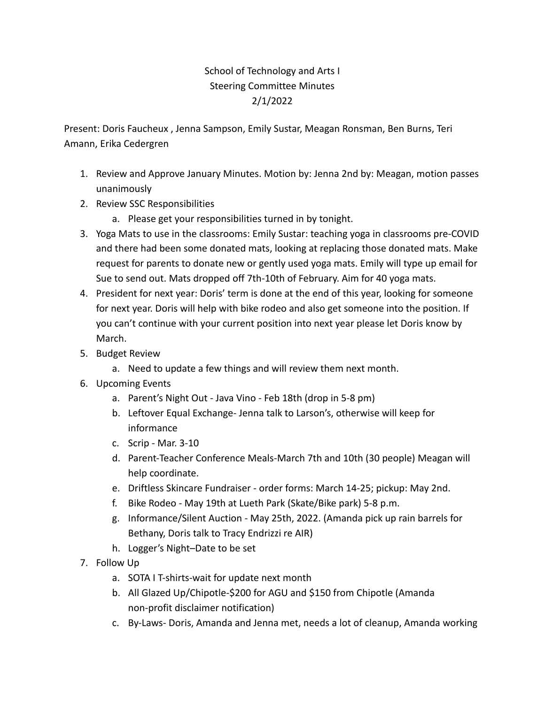## School of Technology and Arts I Steering Committee Minutes 2/1/2022

Present: Doris Faucheux , Jenna Sampson, Emily Sustar, Meagan Ronsman, Ben Burns, Teri Amann, Erika Cedergren

- 1. Review and Approve January Minutes. Motion by: Jenna 2nd by: Meagan, motion passes unanimously
- 2. Review SSC Responsibilities
	- a. Please get your responsibilities turned in by tonight.
- 3. Yoga Mats to use in the classrooms: Emily Sustar: teaching yoga in classrooms pre-COVID and there had been some donated mats, looking at replacing those donated mats. Make request for parents to donate new or gently used yoga mats. Emily will type up email for Sue to send out. Mats dropped off 7th-10th of February. Aim for 40 yoga mats.
- 4. President for next year: Doris' term is done at the end of this year, looking for someone for next year. Doris will help with bike rodeo and also get someone into the position. If you can't continue with your current position into next year please let Doris know by March.
- 5. Budget Review
	- a. Need to update a few things and will review them next month.
- 6. Upcoming Events
	- a. Parent's Night Out Java Vino Feb 18th (drop in 5-8 pm)
	- b. Leftover Equal Exchange- Jenna talk to Larson's, otherwise will keep for informance
	- c. Scrip Mar. 3-10
	- d. Parent-Teacher Conference Meals-March 7th and 10th (30 people) Meagan will help coordinate.
	- e. Driftless Skincare Fundraiser order forms: March 14-25; pickup: May 2nd.
	- f. Bike Rodeo May 19th at Lueth Park (Skate/Bike park) 5-8 p.m.
	- g. Informance/Silent Auction May 25th, 2022. (Amanda pick up rain barrels for Bethany, Doris talk to Tracy Endrizzi re AIR)
	- h. Logger's Night–Date to be set
- 7. Follow Up
	- a. SOTA I T-shirts-wait for update next month
	- b. All Glazed Up/Chipotle-\$200 for AGU and \$150 from Chipotle (Amanda non-profit disclaimer notification)
	- c. By-Laws- Doris, Amanda and Jenna met, needs a lot of cleanup, Amanda working